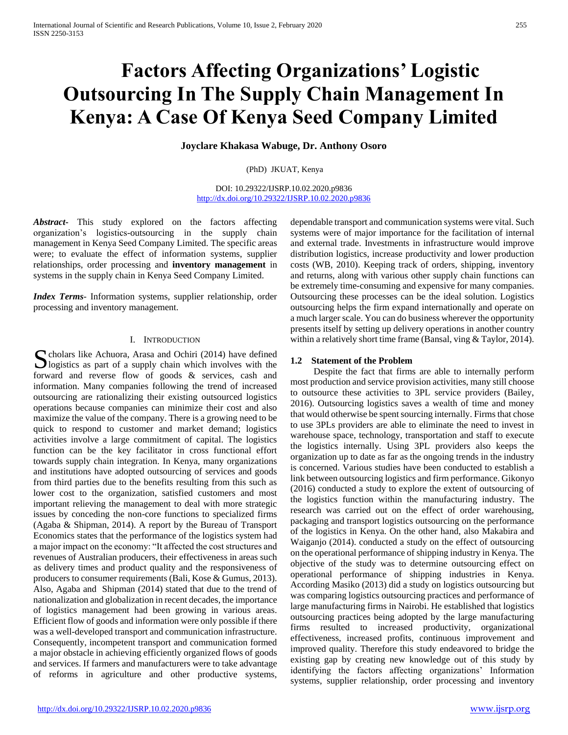# **Factors Affecting Organizations' Logistic Outsourcing In The Supply Chain Management In Kenya: A Case Of Kenya Seed Company Limited**

**Joyclare Khakasa Wabuge, Dr. Anthony Osoro**

(PhD) JKUAT, Kenya

DOI: 10.29322/IJSRP.10.02.2020.p9836 <http://dx.doi.org/10.29322/IJSRP.10.02.2020.p9836>

*Abstract***-** This study explored on the factors affecting organization's logistics-outsourcing in the supply chain management in Kenya Seed Company Limited. The specific areas were; to evaluate the effect of information systems, supplier relationships, order processing and **inventory management** in systems in the supply chain in Kenya Seed Company Limited.

*Index Terms*- Information systems, supplier relationship, order processing and inventory management.

### I. INTRODUCTION

 $\Gamma$  cholars like Achuora, Arasa and Ochiri (2014) have defined S cholars like Achuora, Arasa and Ochiri (2014) have defined logistics as part of a supply chain which involves with the forward and reverse flow of goods & services, cash and information. Many companies following the trend of increased outsourcing are rationalizing their existing outsourced logistics operations because companies can minimize their cost and also maximize the value of the company. There is a growing need to be quick to respond to customer and market demand; logistics activities involve a large commitment of capital. The logistics function can be the key facilitator in cross functional effort towards supply chain integration. In Kenya, many organizations and institutions have adopted outsourcing of services and goods from third parties due to the benefits resulting from this such as lower cost to the organization, satisfied customers and most important relieving the management to deal with more strategic issues by conceding the non-core functions to specialized firms (Agaba & Shipman, 2014). A report by the Bureau of Transport Economics states that the performance of the logistics system had a major impact on the economy: "It affected the cost structures and revenues of Australian producers, their effectiveness in areas such as delivery times and product quality and the responsiveness of producers to consumer requirements (Bali, Kose & Gumus, 2013). Also, Agaba and Shipman (2014) stated that due to the trend of nationalization and globalization in recent decades, the importance of logistics management had been growing in various areas. Efficient flow of goods and information were only possible if there was a well-developed transport and communication infrastructure. Consequently, incompetent transport and communication formed a major obstacle in achieving efficiently organized flows of goods and services. If farmers and manufacturers were to take advantage of reforms in agriculture and other productive systems,

dependable transport and communication systems were vital. Such systems were of major importance for the facilitation of internal and external trade. Investments in infrastructure would improve distribution logistics, increase productivity and lower production costs (WB, 2010). Keeping track of orders, shipping, inventory and returns, along with various other supply chain functions can be extremely time-consuming and expensive for many companies. Outsourcing these processes can be the ideal solution. Logistics outsourcing helps the firm expand internationally and operate on a much larger scale. You can do business wherever the opportunity presents itself by setting up delivery operations in another country within a relatively short time frame (Bansal, ving & Taylor, 2014).

# **1.2 Statement of the Problem**

 Despite the fact that firms are able to internally perform most production and service provision activities, many still choose to outsource these activities to 3PL service providers (Bailey, 2016). Outsourcing logistics saves a wealth of time and money that would otherwise be spent sourcing internally. Firms that chose to use 3PLs providers are able to eliminate the need to invest in warehouse space, technology, transportation and staff to execute the logistics internally. Using 3PL providers also keeps the organization up to date as far as the ongoing trends in the industry is concerned. Various studies have been conducted to establish a link between outsourcing logistics and firm performance. Gikonyo (2016) conducted a study to explore the extent of outsourcing of the logistics function within the manufacturing industry. The research was carried out on the effect of order warehousing, packaging and transport logistics outsourcing on the performance of the logistics in Kenya. On the other hand, also Makabira and Waiganjo (2014). conducted a study on the effect of outsourcing on the operational performance of shipping industry in Kenya. The objective of the study was to determine outsourcing effect on operational performance of shipping industries in Kenya. According Masiko (2013) did a study on logistics outsourcing but was comparing logistics outsourcing practices and performance of large manufacturing firms in Nairobi. He established that logistics outsourcing practices being adopted by the large manufacturing firms resulted to increased productivity, organizational effectiveness, increased profits, continuous improvement and improved quality. Therefore this study endeavored to bridge the existing gap by creating new knowledge out of this study by identifying the factors affecting organizations' Information systems, supplier relationship, order processing and inventory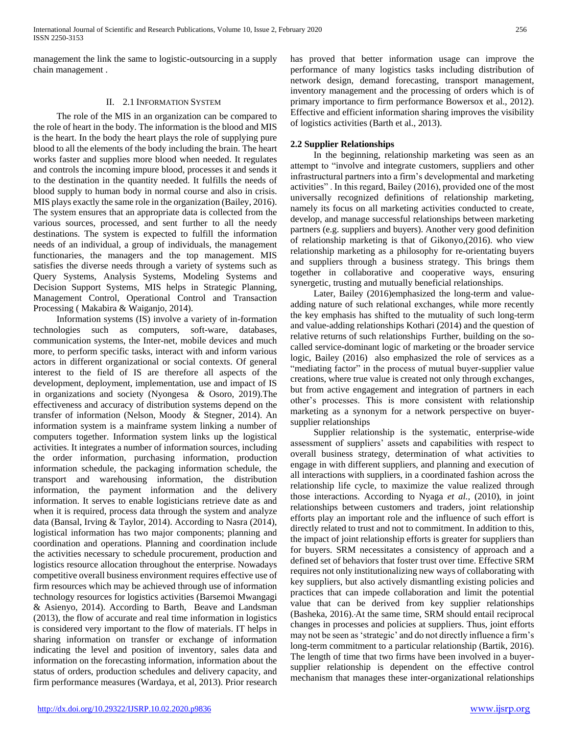management the link the same to logistic-outsourcing in a supply chain management .

# II. 2.1 INFORMATION SYSTEM

 The role of the MIS in an organization can be compared to the role of heart in the body. The information is the blood and MIS is the heart. In the body the heart plays the role of supplying pure blood to all the elements of the body including the brain. The heart works faster and supplies more blood when needed. It regulates and controls the incoming impure blood, processes it and sends it to the destination in the quantity needed. It fulfills the needs of blood supply to human body in normal course and also in crisis. MIS plays exactly the same role in the organization (Bailey, 2016). The system ensures that an appropriate data is collected from the various sources, processed, and sent further to all the needy destinations. The system is expected to fulfill the information needs of an individual, a group of individuals, the management functionaries, the managers and the top management. MIS satisfies the diverse needs through a variety of systems such as Query Systems, Analysis Systems, Modeling Systems and Decision Support Systems, MIS helps in Strategic Planning, Management Control, Operational Control and Transaction Processing ( Makabira & Waiganjo, 2014).

 Information systems (IS) involve a variety of in-formation technologies such as computers, soft-ware, databases, communication systems, the Inter-net, mobile devices and much more, to perform specific tasks, interact with and inform various actors in different organizational or social contexts. Of general interest to the field of IS are therefore all aspects of the development, deployment, implementation, use and impact of IS in organizations and society (Nyongesa & Osoro, 2019).The effectiveness and accuracy of distribution systems depend on the transfer of information (Nelson, Moody & Stegner, 2014). An information system is a mainframe system linking a number of computers together. Information system links up the logistical activities. It integrates a number of information sources, including the order information, purchasing information, production information schedule, the packaging information schedule, the transport and warehousing information, the distribution information, the payment information and the delivery information. It serves to enable logisticians retrieve date as and when it is required, process data through the system and analyze data (Bansal, Irving & Taylor, 2014). According to Nasra (2014), logistical information has two major components; planning and coordination and operations. Planning and coordination include the activities necessary to schedule procurement, production and logistics resource allocation throughout the enterprise. Nowadays competitive overall business environment requires effective use of firm resources which may be achieved through use of information technology resources for logistics activities (Barsemoi Mwangagi & Asienyo, 2014). According to Barth, Beave and Landsman (2013), the flow of accurate and real time information in logistics is considered very important to the flow of materials. IT helps in sharing information on transfer or exchange of information indicating the level and position of inventory, sales data and information on the forecasting information, information about the status of orders, production schedules and delivery capacity, and firm performance measures (Wardaya, et al, 2013). Prior research

has proved that better information usage can improve the performance of many logistics tasks including distribution of network design, demand forecasting, transport management, inventory management and the processing of orders which is of primary importance to firm performance Bowersox et al., 2012). Effective and efficient information sharing improves the visibility of logistics activities (Barth et al., 2013).

# **2.2 Supplier Relationships**

 In the beginning, relationship marketing was seen as an attempt to "involve and integrate customers, suppliers and other infrastructural partners into a firm's developmental and marketing activities" . In this regard, Bailey (2016), provided one of the most universally recognized definitions of relationship marketing, namely its focus on all marketing activities conducted to create, develop, and manage successful relationships between marketing partners (e.g. suppliers and buyers). Another very good definition of relationship marketing is that of Gikonyo,(2016). who view relationship marketing as a philosophy for re-orientating buyers and suppliers through a business strategy. This brings them together in collaborative and cooperative ways, ensuring synergetic, trusting and mutually beneficial relationships.

 Later, Bailey (2016)emphasized the long-term and valueadding nature of such relational exchanges, while more recently the key emphasis has shifted to the mutuality of such long-term and value-adding relationships Kothari (2014) and the question of relative returns of such relationships Further, building on the socalled service-dominant logic of marketing or the broader service logic, Bailey (2016) also emphasized the role of services as a "mediating factor" in the process of mutual buyer-supplier value creations, where true value is created not only through exchanges, but from active engagement and integration of partners in each other's processes. This is more consistent with relationship marketing as a synonym for a network perspective on buyersupplier relationships

 Supplier relationship is the systematic, enterprise-wide assessment of suppliers' assets and capabilities with respect to overall business strategy, determination of what activities to engage in with different suppliers, and planning and execution of all interactions with suppliers, in a coordinated fashion across the relationship life cycle, to maximize the value realized through those interactions. According to Nyaga *et al.,* (2010), in joint relationships between customers and traders, joint relationship efforts play an important role and the influence of such effort is directly related to trust and not to commitment. In addition to this, the impact of joint relationship efforts is greater for suppliers than for buyers. SRM necessitates a consistency of approach and a defined set of behaviors that foster trust over time. Effective SRM requires not only institutionalizing new ways of collaborating with key suppliers, but also actively dismantling existing policies and practices that can impede collaboration and limit the potential value that can be derived from key supplier relationships (Basheka, 2016). At the same time, SRM should entail reciprocal changes in processes and policies at suppliers. Thus, joint efforts may not be seen as 'strategic' and do not directly influence a firm's long-term commitment to a particular relationship (Bartik, 2016). The length of time that two firms have been involved in a buyersupplier relationship is dependent on the effective control mechanism that manages these inter-organizational relationships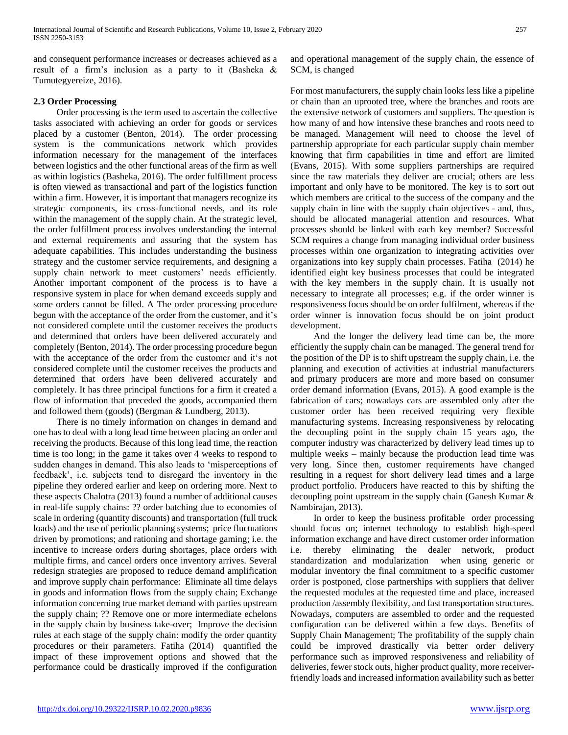and consequent performance increases or decreases achieved as a result of a firm's inclusion as a party to it (Basheka & Tumutegyereize, 2016).

# **2.3 Order Processing**

 Order processing is the term used to ascertain the collective tasks associated with achieving an order for goods or services placed by a customer (Benton, 2014). The order processing system is the communications network which provides information necessary for the management of the interfaces between logistics and the other functional areas of the firm as well as within logistics (Basheka, 2016). The order fulfillment process is often viewed as transactional and part of the logistics function within a firm. However, it is important that managers recognize its strategic components, its cross-functional needs, and its role within the management of the supply chain. At the strategic level, the order fulfillment process involves understanding the internal and external requirements and assuring that the system has adequate capabilities. This includes understanding the business strategy and the customer service requirements, and designing a supply chain network to meet customers' needs efficiently. Another important component of the process is to have a responsive system in place for when demand exceeds supply and some orders cannot be filled. A The order processing procedure begun with the acceptance of the order from the customer, and it's not considered complete until the customer receives the products and determined that orders have been delivered accurately and completely (Benton, 2014). The order processing procedure begun with the acceptance of the order from the customer and it's not considered complete until the customer receives the products and determined that orders have been delivered accurately and completely. It has three principal functions for a firm it created a flow of information that preceded the goods, accompanied them and followed them (goods) (Bergman & Lundberg, 2013).

 There is no timely information on changes in demand and one has to deal with a long lead time between placing an order and receiving the products. Because of this long lead time, the reaction time is too long; in the game it takes over 4 weeks to respond to sudden changes in demand. This also leads to 'misperceptions of feedback', i.e. subjects tend to disregard the inventory in the pipeline they ordered earlier and keep on ordering more. Next to these aspects Chalotra (2013) found a number of additional causes in real-life supply chains: ?? order batching due to economies of scale in ordering (quantity discounts) and transportation (full truck loads) and the use of periodic planning systems; price fluctuations driven by promotions; and rationing and shortage gaming; i.e. the incentive to increase orders during shortages, place orders with multiple firms, and cancel orders once inventory arrives. Several redesign strategies are proposed to reduce demand amplification and improve supply chain performance: Eliminate all time delays in goods and information flows from the supply chain; Exchange information concerning true market demand with parties upstream the supply chain; ?? Remove one or more intermediate echelons in the supply chain by business take-over; Improve the decision rules at each stage of the supply chain: modify the order quantity procedures or their parameters. Fatiha (2014) quantified the impact of these improvement options and showed that the performance could be drastically improved if the configuration

and operational management of the supply chain, the essence of SCM, is changed

For most manufacturers, the supply chain looks less like a pipeline or chain than an uprooted tree, where the branches and roots are the extensive network of customers and suppliers. The question is how many of and how intensive these branches and roots need to be managed. Management will need to choose the level of partnership appropriate for each particular supply chain member knowing that firm capabilities in time and effort are limited (Evans, 2015). With some suppliers partnerships are required since the raw materials they deliver are crucial; others are less important and only have to be monitored. The key is to sort out which members are critical to the success of the company and the supply chain in line with the supply chain objectives - and, thus, should be allocated managerial attention and resources. What processes should be linked with each key member? Successful SCM requires a change from managing individual order business processes within one organization to integrating activities over organizations into key supply chain processes. Fatiha (2014) he identified eight key business processes that could be integrated with the key members in the supply chain. It is usually not necessary to integrate all processes; e.g. if the order winner is responsiveness focus should be on order fulfilment, whereas if the order winner is innovation focus should be on joint product development.

 And the longer the delivery lead time can be, the more efficiently the supply chain can be managed. The general trend for the position of the DP is to shift upstream the supply chain, i.e. the planning and execution of activities at industrial manufacturers and primary producers are more and more based on consumer order demand information (Evans, 2015). A good example is the fabrication of cars; nowadays cars are assembled only after the customer order has been received requiring very flexible manufacturing systems. Increasing responsiveness by relocating the decoupling point in the supply chain 15 years ago, the computer industry was characterized by delivery lead times up to multiple weeks – mainly because the production lead time was very long. Since then, customer requirements have changed resulting in a request for short delivery lead times and a large product portfolio. Producers have reacted to this by shifting the decoupling point upstream in the supply chain (Ganesh Kumar & Nambirajan, 2013).

 In order to keep the business profitable order processing should focus on; internet technology to establish high-speed information exchange and have direct customer order information i.e. thereby eliminating the dealer network, product standardization and modularization when using generic or modular inventory the final commitment to a specific customer order is postponed, close partnerships with suppliers that deliver the requested modules at the requested time and place, increased production /assembly flexibility, and fast transportation structures. Nowadays, computers are assembled to order and the requested configuration can be delivered within a few days. Benefits of Supply Chain Management; The profitability of the supply chain could be improved drastically via better order delivery performance such as improved responsiveness and reliability of deliveries, fewer stock outs, higher product quality, more receiverfriendly loads and increased information availability such as better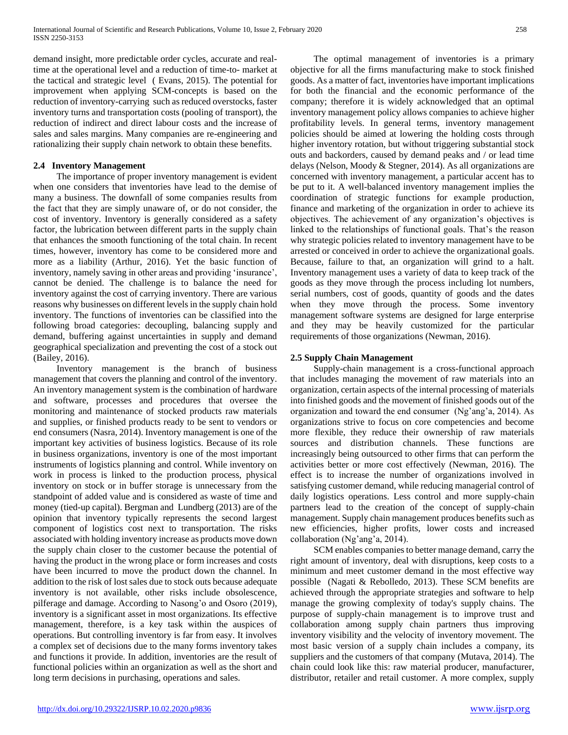demand insight, more predictable order cycles, accurate and realtime at the operational level and a reduction of time-to- market at the tactical and strategic level ( Evans, 2015). The potential for improvement when applying SCM-concepts is based on the reduction of inventory-carrying such as reduced overstocks, faster inventory turns and transportation costs (pooling of transport), the reduction of indirect and direct labour costs and the increase of sales and sales margins. Many companies are re-engineering and rationalizing their supply chain network to obtain these benefits.

# **2.4 Inventory Management**

 The importance of proper inventory management is evident when one considers that inventories have lead to the demise of many a business. The downfall of some companies results from the fact that they are simply unaware of, or do not consider, the cost of inventory. Inventory is generally considered as a safety factor, the lubrication between different parts in the supply chain that enhances the smooth functioning of the total chain. In recent times, however, inventory has come to be considered more and more as a liability (Arthur, 2016). Yet the basic function of inventory, namely saving in other areas and providing 'insurance', cannot be denied. The challenge is to balance the need for inventory against the cost of carrying inventory. There are various reasons why businesses on different levels in the supply chain hold inventory. The functions of inventories can be classified into the following broad categories: decoupling, balancing supply and demand, buffering against uncertainties in supply and demand geographical specialization and preventing the cost of a stock out (Bailey, 2016).

 Inventory management is the branch of business management that covers the planning and control of the inventory. An inventory management system is the combination of hardware and software, processes and procedures that oversee the monitoring and maintenance of stocked products raw materials and supplies, or finished products ready to be sent to vendors or end consumers (Nasra, 2014). Inventory management is one of the important key activities of business logistics. Because of its role in business organizations, inventory is one of the most important instruments of logistics planning and control. While inventory on work in process is linked to the production process, physical inventory on stock or in buffer storage is unnecessary from the standpoint of added value and is considered as waste of time and money (tied-up capital). Bergman and Lundberg (2013) are of the opinion that inventory typically represents the second largest component of logistics cost next to transportation. The risks associated with holding inventory increase as products move down the supply chain closer to the customer because the potential of having the product in the wrong place or form increases and costs have been incurred to move the product down the channel. In addition to the risk of lost sales due to stock outs because adequate inventory is not available, other risks include obsolescence, pilferage and damage. According to Nasong'o and Osoro (2019), inventory is a significant asset in most organizations. Its effective management, therefore, is a key task within the auspices of operations. But controlling inventory is far from easy. It involves a complex set of decisions due to the many forms inventory takes and functions it provide. In addition, inventories are the result of functional policies within an organization as well as the short and long term decisions in purchasing, operations and sales.

 The optimal management of inventories is a primary objective for all the firms manufacturing make to stock finished goods. As a matter of fact, inventories have important implications for both the financial and the economic performance of the company; therefore it is widely acknowledged that an optimal inventory management policy allows companies to achieve higher profitability levels. In general terms, inventory management policies should be aimed at lowering the holding costs through higher inventory rotation, but without triggering substantial stock outs and backorders, caused by demand peaks and / or lead time delays (Nelson, Moody & Stegner, 2014). As all organizations are concerned with inventory management, a particular accent has to be put to it. A well-balanced inventory management implies the coordination of strategic functions for example production, finance and marketing of the organization in order to achieve its objectives. The achievement of any organization's objectives is linked to the relationships of functional goals. That's the reason why strategic policies related to inventory management have to be arrested or conceived in order to achieve the organizational goals. Because, failure to that, an organization will grind to a halt. Inventory management uses a variety of data to keep track of the goods as they move through the process including lot numbers, serial numbers, cost of goods, quantity of goods and the dates when they move through the process. Some inventory management software systems are designed for large enterprise and they may be heavily customized for the particular requirements of those organizations (Newman, 2016).

# **2.5 Supply Chain Management**

 Supply-chain management is a cross-functional approach that includes managing the movement of raw materials into an organization, certain aspects of the internal processing of materials into finished goods and the movement of finished goods out of the organization and toward the end consumer (Ng'ang'a, 2014). As organizations strive to focus on core competencies and become more flexible, they reduce their ownership of raw materials sources and distribution channels. These functions are increasingly being outsourced to other firms that can perform the activities better or more cost effectively (Newman, 2016). The effect is to increase the number of organizations involved in satisfying customer demand, while reducing managerial control of daily logistics operations. Less control and more supply-chain partners lead to the creation of the concept of supply-chain management. Supply chain management produces benefits such as new efficiencies, higher profits, lower costs and increased collaboration (Ng'ang'a, 2014).

 SCM enables companies to better manage demand, carry the right amount of inventory, deal with disruptions, keep costs to a minimum and meet customer demand in the most effective way possible (Nagati & Rebolledo, 2013). These SCM benefits are achieved through the appropriate strategies and software to help manage the growing complexity of today's supply chains. The purpose of supply-chain management is to improve trust and collaboration among supply chain partners thus improving inventory visibility and the velocity of inventory movement. The most basic version of a supply chain includes a company, its suppliers and the customers of that company (Mutava, 2014). The chain could look like this: raw material producer, manufacturer, distributor, retailer and retail customer. A more complex, supply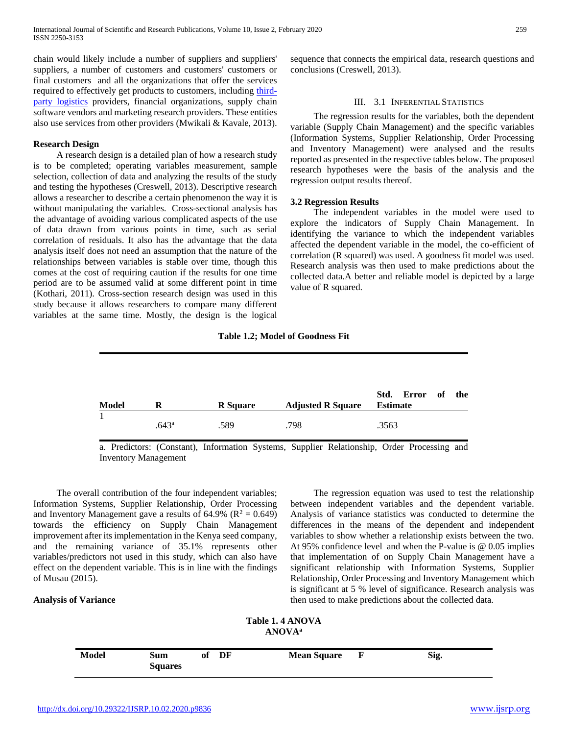chain would likely include a number of suppliers and suppliers' suppliers, a number of customers and customers' customers or final customers and all the organizations that offer the services required to effectively get products to customers, including [third](https://searcherp.techtarget.com/definition/3PL-third-party-logistics)[party logistics](https://searcherp.techtarget.com/definition/3PL-third-party-logistics) providers, financial organizations, supply chain software vendors and marketing research providers. These entities also use services from other providers (Mwikali & Kavale, 2013).

### **Research Design**

 A research design is a detailed plan of how a research study is to be completed; operating variables measurement, sample selection, collection of data and analyzing the results of the study and testing the hypotheses (Creswell, 2013). Descriptive research allows a researcher to describe a certain phenomenon the way it is without manipulating the variables. Cross-sectional analysis has the advantage of avoiding various complicated aspects of the use of data drawn from various points in time, such as serial correlation of residuals. It also has the advantage that the data analysis itself does not need an assumption that the nature of the relationships between variables is stable over time, though this comes at the cost of requiring caution if the results for one time period are to be assumed valid at some different point in time (Kothari, 2011). Cross-section research design was used in this study because it allows researchers to compare many different variables at the same time. Mostly, the design is the logical

sequence that connects the empirical data, research questions and conclusions (Creswell, 2013).

## III. 3.1 INFERENTIAL STATISTICS

 The regression results for the variables, both the dependent variable (Supply Chain Management) and the specific variables (Information Systems, Supplier Relationship, Order Processing and Inventory Management) were analysed and the results reported as presented in the respective tables below. The proposed research hypotheses were the basis of the analysis and the regression output results thereof.

#### **3.2 Regression Results**

 The independent variables in the model were used to explore the indicators of Supply Chain Management. In identifying the variance to which the independent variables affected the dependent variable in the model, the co-efficient of correlation (R squared) was used. A goodness fit model was used. Research analysis was then used to make predictions about the collected data.A better and reliable model is depicted by a large value of R squared.

#### **Table 1.2; Model of Goodness Fit**

| Model | R                 | R Square | <b>Adjusted R Square</b> Estimate | Std. Error of the |
|-------|-------------------|----------|-----------------------------------|-------------------|
|       | .643 <sup>a</sup> | .589     | .798                              | .3563             |

a. Predictors: (Constant), Information Systems, Supplier Relationship, Order Processing and Inventory Management

 The overall contribution of the four independent variables; Information Systems, Supplier Relationship, Order Processing and Inventory Management gave a results of 64.9% ( $\mathbb{R}^2 = 0.649$ ) towards the efficiency on Supply Chain Management improvement after its implementation in the Kenya seed company, and the remaining variance of 35.1% represents other variables/predictors not used in this study, which can also have effect on the dependent variable. This is in line with the findings of Musau (2015).

#### **Analysis of Variance**

 The regression equation was used to test the relationship between independent variables and the dependent variable. Analysis of variance statistics was conducted to determine the differences in the means of the dependent and independent variables to show whether a relationship exists between the two. At 95% confidence level and when the P-value is @ 0.05 implies that implementation of on Supply Chain Management have a significant relationship with Information Systems, Supplier Relationship, Order Processing and Inventory Management which is significant at 5 % level of significance. Research analysis was then used to make predictions about the collected data.

| <b>Model</b> | Sum<br><b>Squares</b> | of | DF | <b>Mean Square</b> | F | Sig. |
|--------------|-----------------------|----|----|--------------------|---|------|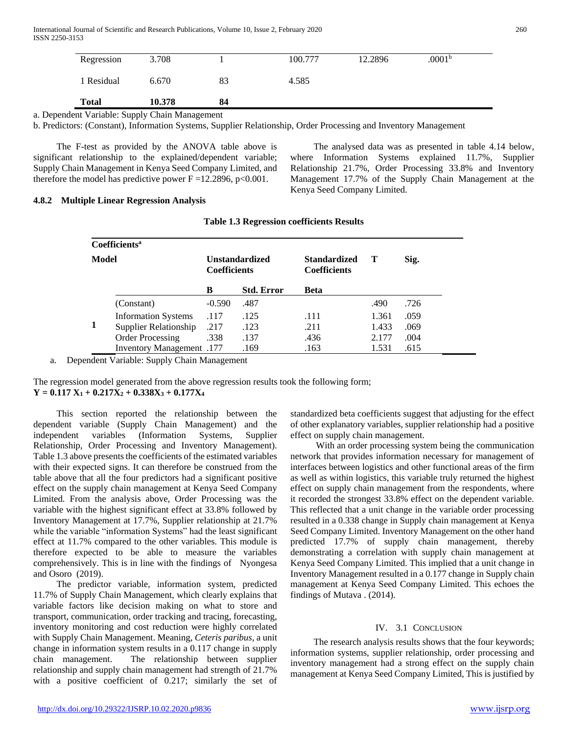International Journal of Scientific and Research Publications, Volume 10, Issue 2, February 2020 260 ISSN 2250-3153

| Regression   | 3.708  |    | 100.777 | 12.2896 | .0001 <sup>b</sup> |
|--------------|--------|----|---------|---------|--------------------|
| 1 Residual   | 6.670  | 83 | 4.585   |         |                    |
| <b>Total</b> | 10.378 | 84 |         |         |                    |

a. Dependent Variable: Supply Chain Management

b. Predictors: (Constant), Information Systems, Supplier Relationship, Order Processing and Inventory Management

 The F-test as provided by the ANOVA table above is significant relationship to the explained/dependent variable; Supply Chain Management in Kenya Seed Company Limited, and therefore the model has predictive power  $F = 12.2896$ , p<0.001.

 The analysed data was as presented in table 4.14 below, where Information Systems explained 11.7%, Supplier Relationship 21.7%, Order Processing 33.8% and Inventory Management 17.7% of the Supply Chain Management at the Kenya Seed Company Limited.

#### **4.8.2 Multiple Linear Regression Analysis**

|       | Coefficients <sup>a</sup>    |                                              |                   |                                            |       |      |
|-------|------------------------------|----------------------------------------------|-------------------|--------------------------------------------|-------|------|
| Model |                              | <b>Unstandardized</b><br><b>Coefficients</b> |                   | <b>Standardized</b><br><b>Coefficients</b> | Т     | Sig. |
|       |                              | B                                            | <b>Std. Error</b> | Beta                                       |       |      |
|       | (Constant)                   | $-0.590$                                     | .487              |                                            | .490  | .726 |
|       | <b>Information Systems</b>   | .117                                         | .125              | .111                                       | 1.361 | .059 |
|       | <b>Supplier Relationship</b> | .217                                         | .123              | .211                                       | 1.433 | .069 |
|       | <b>Order Processing</b>      | .338                                         | .137              | .436                                       | 2.177 | .004 |
|       | 177. Inventory Management    |                                              | .169              | .163                                       | 1.531 | .615 |

**Table 1.3 Regression coefficients Results**

a. Dependent Variable: Supply Chain Management

The regression model generated from the above regression results took the following form; **Y = 0.117 X<sup>1</sup> + 0.217X<sup>2</sup> + 0.338X<sup>3</sup> + 0.177X<sup>4</sup>**

 This section reported the relationship between the dependent variable (Supply Chain Management) and the independent variables (Information Systems, Supplier Relationship, Order Processing and Inventory Management). Table 1.3 above presents the coefficients of the estimated variables with their expected signs. It can therefore be construed from the table above that all the four predictors had a significant positive effect on the supply chain management at Kenya Seed Company Limited. From the analysis above, Order Processing was the variable with the highest significant effect at 33.8% followed by Inventory Management at 17.7%, Supplier relationship at 21.7% while the variable "information Systems" had the least significant effect at 11.7% compared to the other variables. This module is therefore expected to be able to measure the variables comprehensively. This is in line with the findings of Nyongesa and Osoro (2019).

 The predictor variable, information system, predicted 11.7% of Supply Chain Management, which clearly explains that variable factors like decision making on what to store and transport, communication, order tracking and tracing, forecasting, inventory monitoring and cost reduction were highly correlated with Supply Chain Management. Meaning, *Ceteris paribus,* a unit change in information system results in a 0.117 change in supply chain management. The relationship between supplier relationship and supply chain management had strength of 21.7% with a positive coefficient of 0.217; similarly the set of

standardized beta coefficients suggest that adjusting for the effect of other explanatory variables, supplier relationship had a positive effect on supply chain management.

 With an order processing system being the communication network that provides information necessary for management of interfaces between logistics and other functional areas of the firm as well as within logistics, this variable truly returned the highest effect on supply chain management from the respondents, where it recorded the strongest 33.8% effect on the dependent variable. This reflected that a unit change in the variable order processing resulted in a 0.338 change in Supply chain management at Kenya Seed Company Limited. Inventory Management on the other hand predicted 17.7% of supply chain management, thereby demonstrating a correlation with supply chain management at Kenya Seed Company Limited. This implied that a unit change in Inventory Management resulted in a 0.177 change in Supply chain management at Kenya Seed Company Limited. This echoes the findings of Mutava . (2014).

# IV. 3.1 CONCLUSION

 The research analysis results shows that the four keywords; information systems, supplier relationship, order processing and inventory management had a strong effect on the supply chain management at Kenya Seed Company Limited, This is justified by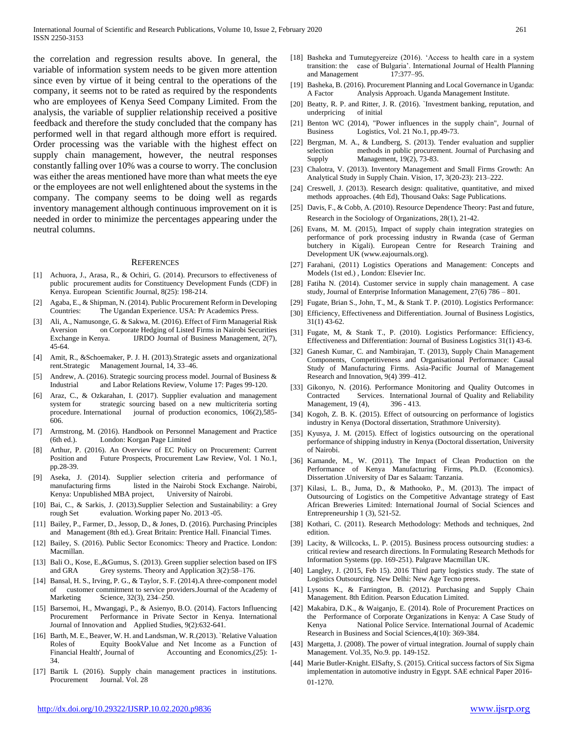the correlation and regression results above. In general, the variable of information system needs to be given more attention since even by virtue of it being central to the operations of the company, it seems not to be rated as required by the respondents who are employees of Kenya Seed Company Limited. From the analysis, the variable of supplier relationship received a positive feedback and therefore the study concluded that the company has performed well in that regard although more effort is required. Order processing was the variable with the highest effect on supply chain management, however, the neutral responses constantly falling over 10% was a course to worry. The conclusion was either the areas mentioned have more than what meets the eye or the employees are not well enlightened about the systems in the company. The company seems to be doing well as regards inventory management although continuous improvement on it is needed in order to minimize the percentages appearing under the neutral columns.

#### **REFERENCES**

- [1] Achuora, J., Arasa, R., & Ochiri, G. (2014). Precursors to effectiveness of public procurement audits for Constituency Development Funds (CDF) in Kenya. European Scientific Journal, 8(25): 198-214.
- Agaba, E., & Shipman, N. (2014). Public Procurement Reform in Developing Countries: The Ugandan Experience. USA: Pr Academics Press.
- [3] Ali, A., Namusonge, G. & Sakwa, M. (2016). Effect of Firm Managerial Risk Aversion on Corporate Hedging of Listed Firms in Nairobi Securities Exchange in Kenya. **IJRDO** Journal of Business Management, 2(7), 45-64.
- [4] Amit, R., &Schoemaker, P. J. H. (2013).Strategic assets and organizational rent.Strategic Management Journal, 14, 33–46.
- Andrew, A. (2016). Strategic sourcing process model. Journal of Business  $\&$ Industrial and Labor Relations Review, Volume 17: Pages 99-120.
- [6] Araz, C., & Ozkarahan, I. (2017). Supplier evaluation and management system for strategic sourcing based on a new multicriteria sorting procedure. International journal of production economics, 106(2),585- 606.
- [7] Armstrong, M. (2016). Handbook on Personnel Management and Practice (6th ed.). London: Korgan Page Limited
- [8] Arthur, P. (2016). An Overview of EC Policy on Procurement: Current Position and Future Prospects, Procurement Law Review, Vol. 1 No.1, pp.28-39.
- [9] Aseka, J. (2014). Supplier selection criteria and performance of manufacturing firms listed in the Nairobi Stock Exchange. Nairobi, Kenya: Unpublished MBA project, University of Nairobi.
- [10] Bai, C., & Sarkis, J. (2013).Supplier Selection and Sustainability: a Grey rough Set evaluation. Working paper No. 2013 -05.
- [11] Bailey, P., Farmer, D., Jessop, D., & Jones, D. (2016). Purchasing Principles and Management (8th ed.). Great Britain: Prentice Hall. Financial Times.
- [12] Bailey, S. (2016). Public Sector Economics: Theory and Practice. London: Macmillan.
- [13] Bali O., Kose, E., & Gumus, S. (2013). Green supplier selection based on IFS and GRA Grey systems. Theory and Application 3(2):58–176.
- [14] Bansal, H. S., Irving, P. G., & Taylor, S. F. (2014). A three-component model of customer commitment to service providers.Journal of the Academy of Marketing Science, 32(3), 234–250.
- [15] Barsemoi, H., Mwangagi, P., & Asienyo, B.O. (2014). Factors Influencing Procurement Performance in Private Sector in Kenya. International Journal of Innovation and Applied Studies, 9(2):632-641.
- [16] Barth, M. E., Beaver, W. H. and Landsman, W. R.(2013). `Relative Valuation Roles of Equity BookValue and Net Income as a Function of Financial Health', Journal of Accounting and Economics,(25): 1-34.
- [17] Bartik L (2016). Supply chain management practices in institutions. Procurement Journal. Vol. 28
- [18] Basheka and Tumutegyereize (2016). 'Access to health care in a system transition: the case of Bulgaria'. International Journal of Health Planning and Management 17:377-95.
- [19] Basheka, B. (2016). Procurement Planning and Local Governance in Uganda: A Factor Analysis Approach. Uganda Management Institute.
- [20] Beatty, R. P. and Ritter, J. R. (2016). `Investment banking, reputation, and underpricing
- [21] Benton WC (2014), "Power influences in the supply chain", Journal of Business Logistics, Vol. 21 No.1, pp.49-73.
- [22] Bergman, M. A., & Lundberg, S. (2013). Tender evaluation and supplier selection methods in public procurement. Journal of Purchasing and Supply Management, 19(2), 73-83.
- [23] Chalotra, V. (2013). Inventory Management and Small Firms Growth: An Analytical Study in Supply Chain. Vision, 17, 3(20-23): 213–222.
- [24] Creswell, J. (2013). Research design: qualitative, quantitative, and mixed methods approaches. (4th Ed), Thousand Oaks: Sage Publications.
- [25] Davis, F., & Cobb, A. (2010). Resource Dependence Theory: Past and future, Research in the Sociology of Organizations, 28(1), 21-42.
- [26] Evans, M. M. (2015), Impact of supply chain integration strategies on performance of pork processing industry in Rwanda (case of German butchery in Kigali). European Centre for Research Training and Development UK (www.eajournals.org).
- [27] Farahani, (2011) Logistics Operations and Management: Concepts and Models (1st ed.) , London: Elsevier Inc.
- [28] Fatiha N. (2014). Customer service in supply chain management. A case study, Journal of Enterprise Information Management, 27(6) 786 – 801.
- [29] Fugate, Brian S., John, T., M., & Stank T. P. (2010). Logistics Performance:
- [30] Efficiency, Effectiveness and Differentiation. Journal of Business Logistics, 31(1) 43-62.
- [31] Fugate, M, & Stank T., P. (2010). Logistics Performance: Efficiency, Effectiveness and Differentiation: Journal of Business Logistics 31(1) 43-6.
- [32] Ganesh Kumar, C. and Nambirajan, T. (2013), Supply Chain Management Components, Competitiveness and Organisational Performance: Causal Study of Manufacturing Firms. Asia-Pacific Journal of Management Research and Innovation, 9(4) 399–412.
- [33] Gikonyo, N. (2016). Performance Monitoring and Quality Outcomes in Contracted Services. International Journal of Quality and Reliability Management, 19 (4), 396 - 413.
- [34] Kogoh, Z. B. K. (2015). Effect of outsourcing on performance of logistics industry in Kenya (Doctoral dissertation, Strathmore University).
- [35] Kyusya, J. M. (2015). Effect of logistics outsourcing on the operational performance of shipping industry in Kenya (Doctoral dissertation, University of Nairobi.
- [36] Kamande, M., W. (2011). The Impact of Clean Production on the Performance of Kenya Manufacturing Firms, Ph.D. (Economics). Dissertation .University of Dar es Salaam: Tanzania.
- [37] Kilasi, L. B., Juma, D., & Mathooko, P., M. (2013). The impact of Outsourcing of Logistics on the Competitive Advantage strategy of East African Breweries Limited: International Journal of Social Sciences and Entrepreneurship 1 (3), 521-52.
- [38] Kothari, C. (2011). Research Methodology: Methods and techniques, 2nd edition.
- [39] Lacity, & Willcocks, L. P. (2015). Business process outsourcing studies: a critical review and research directions. In Formulating Research Methods for Information Systems (pp. 169-251). Palgrave Macmillan UK.
- [40] Langley, J. (2015, Feb 15). 2016 Third party logistics study. The state of Logistics Outsourcing. New Delhi: New Age Tecno press.
- [41] Lysons K., & Farrington, B. (2012). Purchasing and Supply Chain Management. 8th Edition. Pearson Education Limited.
- [42] Makabira, D.K., & Waiganjo, E. (2014). Role of Procurement Practices on the Performance of Corporate Organizations in Kenya: A Case Study of Kenya National Police Service. International Journal of Academic Research in Business and Social Sciences,4(10): 369-384.
- [43] Margetta, J. (2008). The power of virtual integration. Journal of supply chain Management. Vol.35, No.9. pp. 149-152.
- [44] Marie Butler-Knight. ElSafty, S. (2015). Critical success factors of Six Sigma implementation in automotive industry in Egypt. SAE echnical Paper 2016- 01-1270.